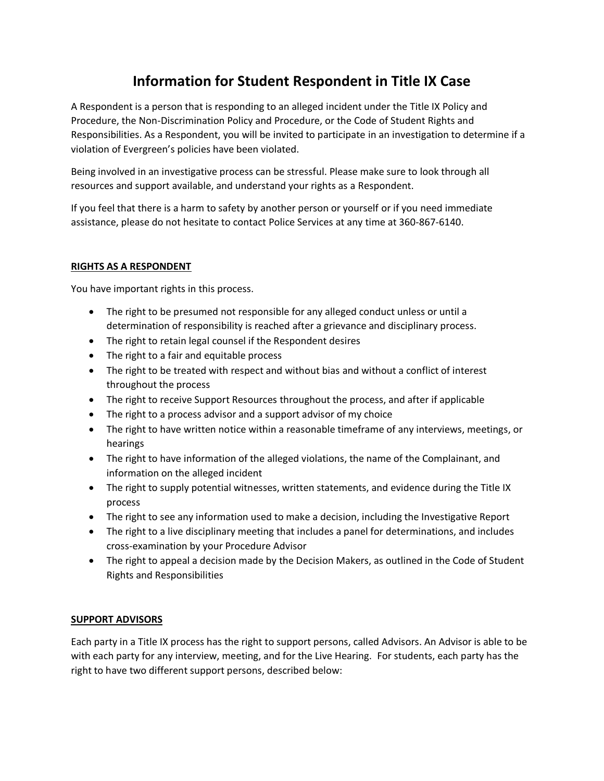# **Information for Student Respondent in Title IX Case**

A Respondent is a person that is responding to an alleged incident under the Title IX Policy and Procedure, the Non-Discrimination Policy and Procedure, or the Code of Student Rights and Responsibilities. As a Respondent, you will be invited to participate in an investigation to determine if a violation of Evergreen's policies have been violated.

Being involved in an investigative process can be stressful. Please make sure to look through all resources and support available, and understand your rights as a Respondent.

If you feel that there is a harm to safety by another person or yourself or if you need immediate assistance, please do not hesitate to contact Police Services at any time at 360-867-6140.

#### **RIGHTS AS A RESPONDENT**

You have important rights in this process.

- The right to be presumed not responsible for any alleged conduct unless or until a determination of responsibility is reached after a grievance and disciplinary process.
- The right to retain legal counsel if the Respondent desires
- The right to a fair and equitable process
- The right to be treated with respect and without bias and without a conflict of interest throughout the process
- The right to receive Support Resources throughout the process, and after if applicable
- The right to a process advisor and a support advisor of my choice
- The right to have written notice within a reasonable timeframe of any interviews, meetings, or hearings
- The right to have information of the alleged violations, the name of the Complainant, and information on the alleged incident
- The right to supply potential witnesses, written statements, and evidence during the Title IX process
- The right to see any information used to make a decision, including the Investigative Report
- The right to a live disciplinary meeting that includes a panel for determinations, and includes cross-examination by your Procedure Advisor
- The right to appeal a decision made by the Decision Makers, as outlined in the Code of Student Rights and Responsibilities

## **SUPPORT ADVISORS**

Each party in a Title IX process has the right to support persons, called Advisors. An Advisor is able to be with each party for any interview, meeting, and for the Live Hearing. For students, each party has the right to have two different support persons, described below: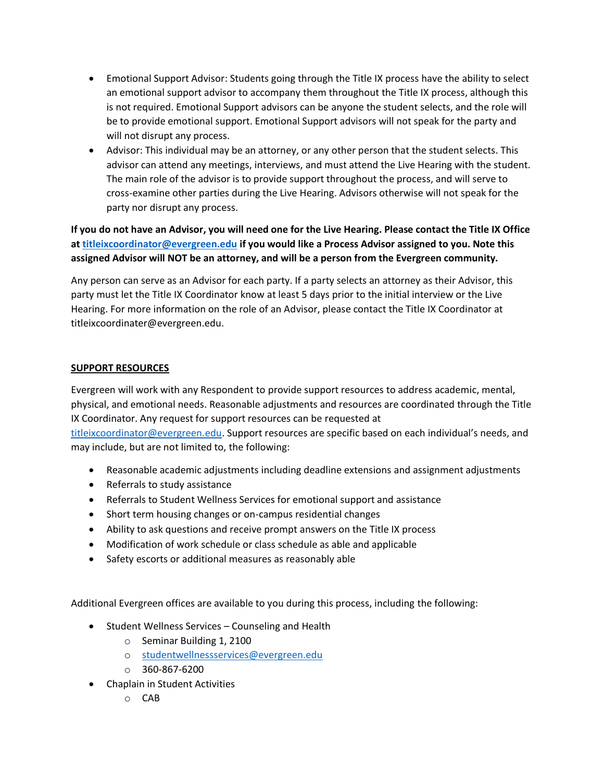- Emotional Support Advisor: Students going through the Title IX process have the ability to select an emotional support advisor to accompany them throughout the Title IX process, although this is not required. Emotional Support advisors can be anyone the student selects, and the role will be to provide emotional support. Emotional Support advisors will not speak for the party and will not disrupt any process.
- Advisor: This individual may be an attorney, or any other person that the student selects. This advisor can attend any meetings, interviews, and must attend the Live Hearing with the student. The main role of the advisor is to provide support throughout the process, and will serve to cross-examine other parties during the Live Hearing. Advisors otherwise will not speak for the party nor disrupt any process.

**If you do not have an Advisor, you will need one for the Live Hearing. Please contact the Title IX Office a[t titleixcoordinator@evergreen.edu](mailto:titleixcoordinator@evergreen.edu) if you would like a Process Advisor assigned to you. Note this assigned Advisor will NOT be an attorney, and will be a person from the Evergreen community.**

Any person can serve as an Advisor for each party. If a party selects an attorney as their Advisor, this party must let the Title IX Coordinator know at least 5 days prior to the initial interview or the Live Hearing. For more information on the role of an Advisor, please contact the Title IX Coordinator at titleixcoordinater@evergreen.edu.

## **SUPPORT RESOURCES**

Evergreen will work with any Respondent to provide support resources to address academic, mental, physical, and emotional needs. Reasonable adjustments and resources are coordinated through the Title IX Coordinator. Any request for support resources can be requested at

[titleixcoordinator@evergreen.edu](mailto:titleixcoordinator@evergreen.edu). Support resources are specific based on each individual's needs, and may include, but are not limited to, the following:

- Reasonable academic adjustments including deadline extensions and assignment adjustments
- Referrals to study assistance
- Referrals to Student Wellness Services for emotional support and assistance
- Short term housing changes or on-campus residential changes
- Ability to ask questions and receive prompt answers on the Title IX process
- Modification of work schedule or class schedule as able and applicable
- Safety escorts or additional measures as reasonably able

Additional Evergreen offices are available to you during this process, including the following:

- Student Wellness Services Counseling and Health
	- o Seminar Building 1, 2100
	- o [studentwellnessservices@evergreen.edu](mailto:studentwellnessservices@evergreen.edu)
	- $O$  360-867-6200
- Chaplain in Student Activities
	- o CAB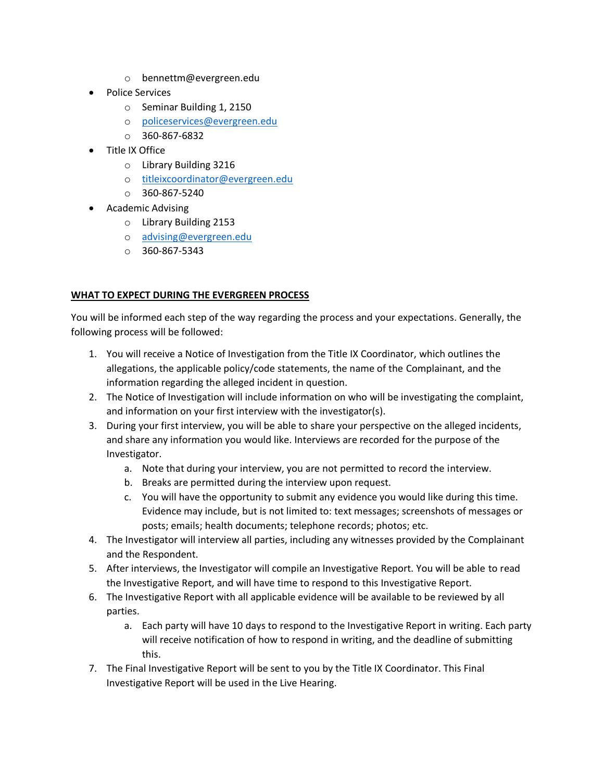- o bennettm@evergreen.edu
- Police Services
	- o Seminar Building 1, 2150
	- o [policeservices@evergreen.edu](mailto:policeservices@evergreen.edu)
	- $O$  360-867-6832
- Title IX Office
	- o Library Building 3216
	- o [titleixcoordinator@evergreen.edu](mailto:titleixcoordinator@evergreen.edu)
	- $O = 360 867 5240$
- Academic Advising
	- o Library Building 2153
	- o [advising@evergreen.edu](mailto:advising@evergreen.edu)
	- $O$  360-867-5343

## **WHAT TO EXPECT DURING THE EVERGREEN PROCESS**

You will be informed each step of the way regarding the process and your expectations. Generally, the following process will be followed:

- 1. You will receive a Notice of Investigation from the Title IX Coordinator, which outlines the allegations, the applicable policy/code statements, the name of the Complainant, and the information regarding the alleged incident in question.
- 2. The Notice of Investigation will include information on who will be investigating the complaint, and information on your first interview with the investigator(s).
- 3. During your first interview, you will be able to share your perspective on the alleged incidents, and share any information you would like. Interviews are recorded for the purpose of the Investigator.
	- a. Note that during your interview, you are not permitted to record the interview.
	- b. Breaks are permitted during the interview upon request.
	- c. You will have the opportunity to submit any evidence you would like during this time. Evidence may include, but is not limited to: text messages; screenshots of messages or posts; emails; health documents; telephone records; photos; etc.
- 4. The Investigator will interview all parties, including any witnesses provided by the Complainant and the Respondent.
- 5. After interviews, the Investigator will compile an Investigative Report. You will be able to read the Investigative Report, and will have time to respond to this Investigative Report.
- 6. The Investigative Report with all applicable evidence will be available to be reviewed by all parties.
	- a. Each party will have 10 days to respond to the Investigative Report in writing. Each party will receive notification of how to respond in writing, and the deadline of submitting this.
- 7. The Final Investigative Report will be sent to you by the Title IX Coordinator. This Final Investigative Report will be used in the Live Hearing.